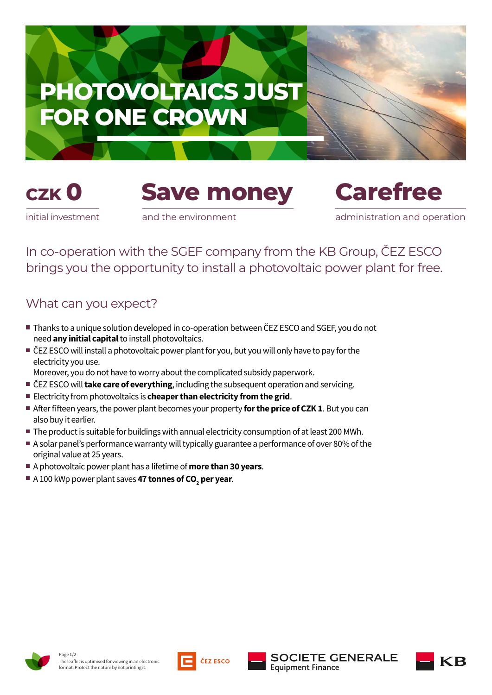







initial investment

and the environment

administration and operation

In co-operation with the SGEF company from the KB Group, ČEZ ESCO brings you the opportunity to install a photovoltaic power plant for free.

## What can you expect?

- Thanks to a unique solution developed in co-operation between ČEZ ESCO and SGEF, you do not need **any initial capital** to install photovoltaics.
- ČEZ ESCO will install a photovoltaic power plant for you, but you will only have to pay for the electricity you use.
- Moreover, you do not have to worry about the complicated subsidy paperwork.
- ČEZ ESCO will **take care of everything**, including the subsequent operation and servicing.
- Electricity from photovoltaics is **cheaper than electricity from the grid**.
- After fifteen years, the power plant becomes your property **for the price of CZK 1**. But you can also buy it earlier.
- The product is suitable for buildings with annual electricity consumption of at least 200 MWh.
- A solar panel's performance warranty will typically guarantee a performance of over 80% of the original value at 25 years.
- A photovoltaic power plant has a lifetime of **more than 30 years**.
- **A 100 kWp power plant saves <b>47 tonnes of CO<sub>2</sub> per year**.